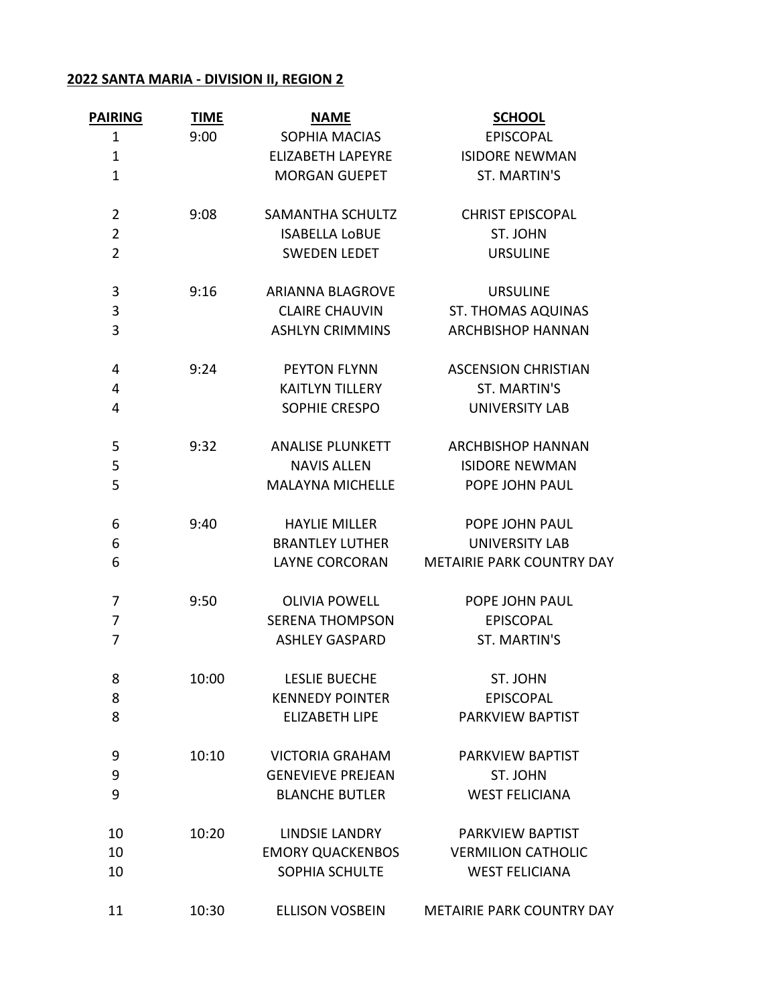## **2022 SANTA MARIA - DIVISION II, REGION 2**

| <b>PAIRING</b> | <b>TIME</b> | <b>NAME</b>              | <b>SCHOOL</b>                    |
|----------------|-------------|--------------------------|----------------------------------|
| $\mathbf{1}$   | 9:00        | SOPHIA MACIAS            | <b>EPISCOPAL</b>                 |
| $\mathbf 1$    |             | <b>ELIZABETH LAPEYRE</b> | <b>ISIDORE NEWMAN</b>            |
| $\mathbf{1}$   |             | <b>MORGAN GUEPET</b>     | ST. MARTIN'S                     |
| $\overline{2}$ | 9:08        | SAMANTHA SCHULTZ         | <b>CHRIST EPISCOPAL</b>          |
| $\overline{2}$ |             | <b>ISABELLA LOBUE</b>    | ST. JOHN                         |
| $\overline{2}$ |             | <b>SWEDEN LEDET</b>      | <b>URSULINE</b>                  |
| 3              | 9:16        | <b>ARIANNA BLAGROVE</b>  | <b>URSULINE</b>                  |
| 3              |             | <b>CLAIRE CHAUVIN</b>    | <b>ST. THOMAS AQUINAS</b>        |
| 3              |             | <b>ASHLYN CRIMMINS</b>   | <b>ARCHBISHOP HANNAN</b>         |
| 4              | 9:24        | <b>PEYTON FLYNN</b>      | <b>ASCENSION CHRISTIAN</b>       |
| 4              |             | <b>KAITLYN TILLERY</b>   | <b>ST. MARTIN'S</b>              |
| 4              |             | SOPHIE CRESPO            | <b>UNIVERSITY LAB</b>            |
| 5              | 9:32        | <b>ANALISE PLUNKETT</b>  | <b>ARCHBISHOP HANNAN</b>         |
| 5              |             | <b>NAVIS ALLEN</b>       | <b>ISIDORE NEWMAN</b>            |
| 5              |             | <b>MALAYNA MICHELLE</b>  | POPE JOHN PAUL                   |
| 6              | 9:40        | <b>HAYLIE MILLER</b>     | POPE JOHN PAUL                   |
| 6              |             | <b>BRANTLEY LUTHER</b>   | <b>UNIVERSITY LAB</b>            |
| 6              |             | <b>LAYNE CORCORAN</b>    | <b>METAIRIE PARK COUNTRY DAY</b> |
| 7              | 9:50        | <b>OLIVIA POWELL</b>     | POPE JOHN PAUL                   |
| 7              |             | <b>SERENA THOMPSON</b>   | <b>EPISCOPAL</b>                 |
| 7              |             | <b>ASHLEY GASPARD</b>    | ST. MARTIN'S                     |
| 8              | 10:00       | <b>LESLIE BUECHE</b>     | ST. JOHN                         |
| 8              |             | <b>KENNEDY POINTER</b>   | <b>EPISCOPAL</b>                 |
| 8              |             | <b>ELIZABETH LIPE</b>    | PARKVIEW BAPTIST                 |
| 9              | 10:10       | <b>VICTORIA GRAHAM</b>   | PARKVIEW BAPTIST                 |
| 9              |             | <b>GENEVIEVE PREJEAN</b> | ST. JOHN                         |
| 9              |             | <b>BLANCHE BUTLER</b>    | <b>WEST FELICIANA</b>            |
| 10             | 10:20       | <b>LINDSIE LANDRY</b>    | PARKVIEW BAPTIST                 |
| 10             |             | <b>EMORY QUACKENBOS</b>  | <b>VERMILION CATHOLIC</b>        |
| 10             |             | SOPHIA SCHULTE           | <b>WEST FELICIANA</b>            |
| 11             | 10:30       | <b>ELLISON VOSBEIN</b>   | <b>METAIRIE PARK COUNTRY DAY</b> |